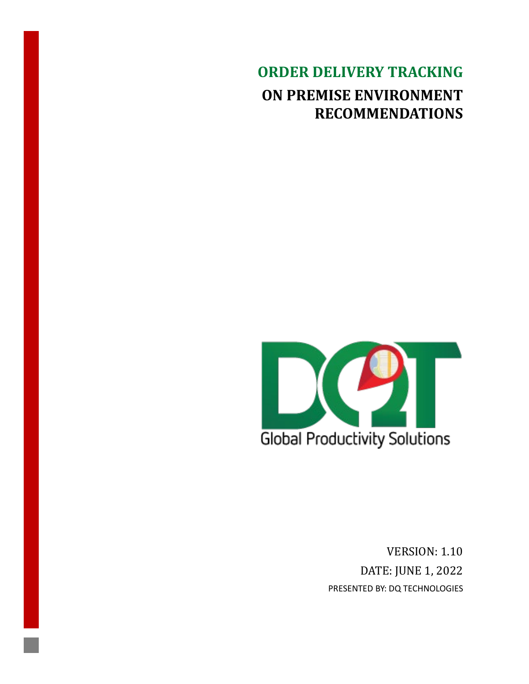**ORDER DELIVERY TRACKING ON PREMISE ENVIRONMENT RECOMMENDATIONS**



VERSION: 1.10 DATE: JUNE 1, 2022 PRESENTED BY: DQ TECHNOLOGIES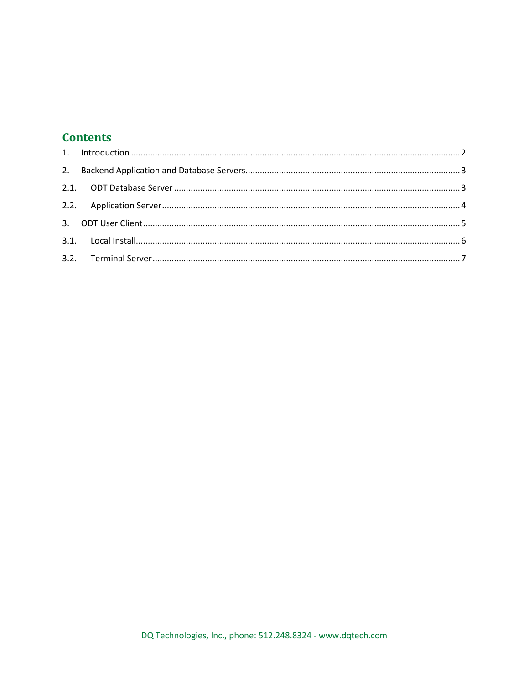### **Contents**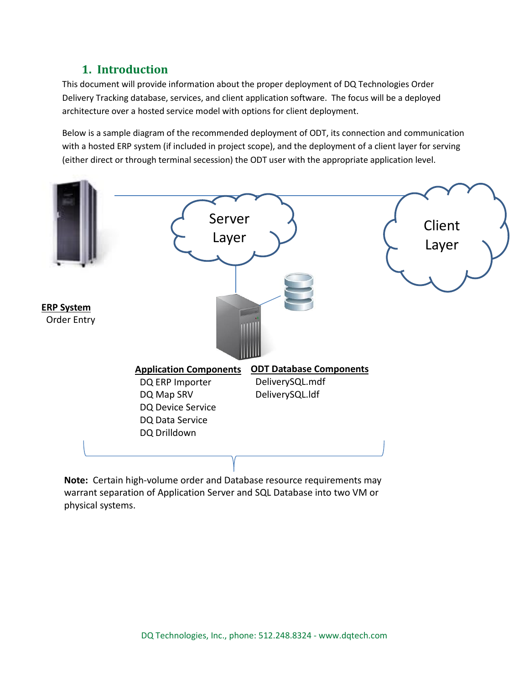# **1. Introduction**

<span id="page-2-0"></span>This document will provide information about the proper deployment of DQ Technologies Order Delivery Tracking database, services, and client application software. The focus will be a deployed architecture over a hosted service model with options for client deployment.

Below is a sample diagram of the recommended deployment of ODT, its connection and communication with a hosted ERP system (if included in project scope), and the deployment of a client layer for serving (either direct or through terminal secession) the ODT user with the appropriate application level.



**Note:** Certain high-volume order and Database resource requirements may warrant separation of Application Server and SQL Database into two VM or physical systems.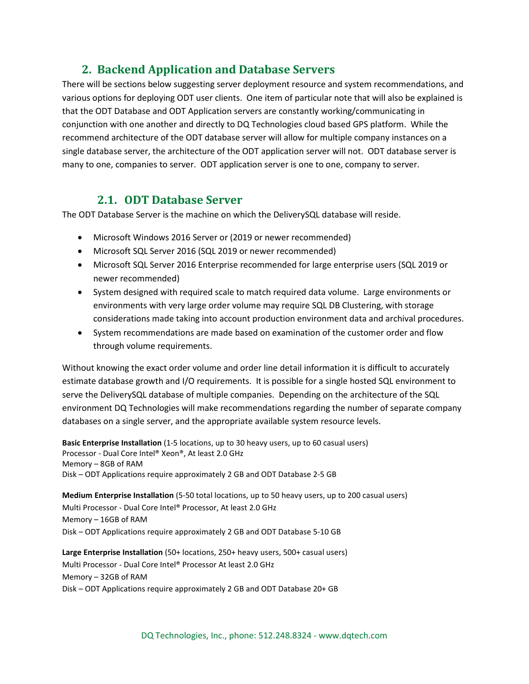### **2. Backend Application and Database Servers**

<span id="page-3-0"></span>There will be sections below suggesting server deployment resource and system recommendations, and various options for deploying ODT user clients. One item of particular note that will also be explained is that the ODT Database and ODT Application servers are constantly working/communicating in conjunction with one another and directly to DQ Technologies cloud based GPS platform. While the recommend architecture of the ODT database server will allow for multiple company instances on a single database server, the architecture of the ODT application server will not. ODT database server is many to one, companies to server. ODT application server is one to one, company to server.

### **2.1. ODT Database Server**

<span id="page-3-1"></span>The ODT Database Server is the machine on which the DeliverySQL database will reside.

- Microsoft Windows 2016 Server or (2019 or newer recommended)
- Microsoft SQL Server 2016 (SQL 2019 or newer recommended)
- Microsoft SQL Server 2016 Enterprise recommended for large enterprise users (SQL 2019 or newer recommended)
- System designed with required scale to match required data volume. Large environments or environments with very large order volume may require SQL DB Clustering, with storage considerations made taking into account production environment data and archival procedures.
- System recommendations are made based on examination of the customer order and flow through volume requirements.

Without knowing the exact order volume and order line detail information it is difficult to accurately estimate database growth and I/O requirements. It is possible for a single hosted SQL environment to serve the DeliverySQL database of multiple companies. Depending on the architecture of the SQL environment DQ Technologies will make recommendations regarding the number of separate company databases on a single server, and the appropriate available system resource levels.

**Basic Enterprise Installation** (1-5 locations, up to 30 heavy users, up to 60 casual users) Processor - Dual Core Intel® Xeon®, At least 2.0 GHz Memory – 8GB of RAM Disk – ODT Applications require approximately 2 GB and ODT Database 2-5 GB

**Medium Enterprise Installation** (5-50 total locations, up to 50 heavy users, up to 200 casual users) Multi Processor - Dual Core Intel® Processor, At least 2.0 GHz Memory – 16GB of RAM Disk – ODT Applications require approximately 2 GB and ODT Database 5-10 GB

**Large Enterprise Installation** (50+ locations, 250+ heavy users, 500+ casual users) Multi Processor - Dual Core Intel® Processor At least 2.0 GHz Memory – 32GB of RAM Disk – ODT Applications require approximately 2 GB and ODT Database 20+ GB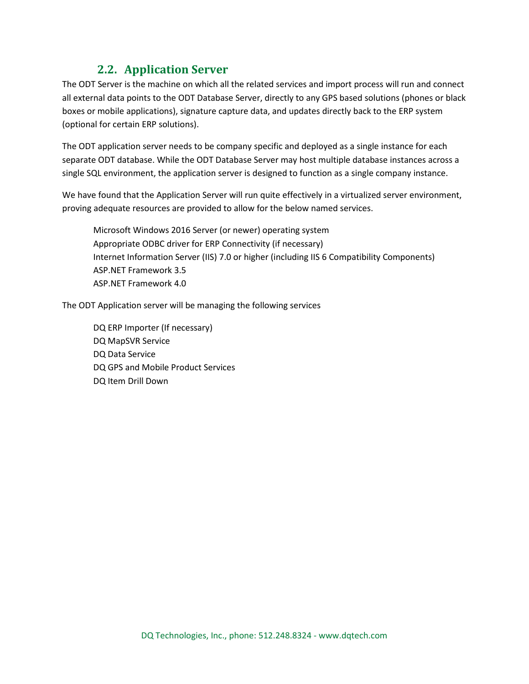# **2.2. Application Server**

<span id="page-4-0"></span>The ODT Server is the machine on which all the related services and import process will run and connect all external data points to the ODT Database Server, directly to any GPS based solutions (phones or black boxes or mobile applications), signature capture data, and updates directly back to the ERP system (optional for certain ERP solutions).

The ODT application server needs to be company specific and deployed as a single instance for each separate ODT database. While the ODT Database Server may host multiple database instances across a single SQL environment, the application server is designed to function as a single company instance.

We have found that the Application Server will run quite effectively in a virtualized server environment, proving adequate resources are provided to allow for the below named services.

Microsoft Windows 2016 Server (or newer) operating system Appropriate ODBC driver for ERP Connectivity (if necessary) Internet Information Server (IIS) 7.0 or higher (including IIS 6 Compatibility Components) ASP.NET Framework 3.5 ASP.NET Framework 4.0

The ODT Application server will be managing the following services

DQ ERP Importer (If necessary) DQ MapSVR Service DQ Data Service DQ GPS and Mobile Product Services DQ Item Drill Down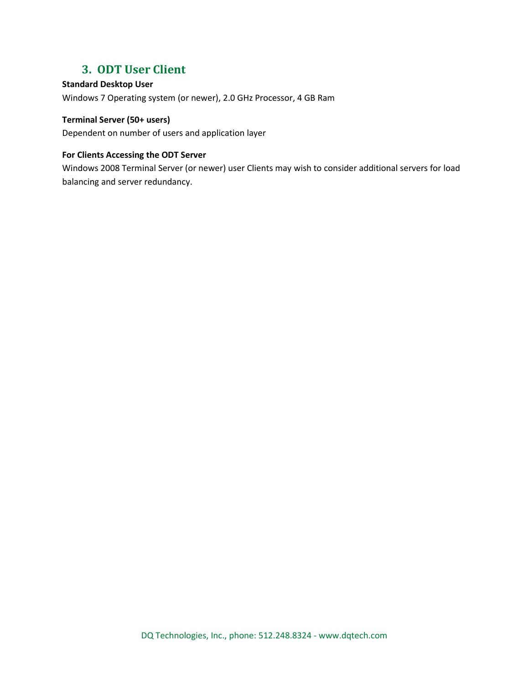### **3. ODT User Client**

#### <span id="page-5-0"></span>**Standard Desktop User**

Windows 7 Operating system (or newer), 2.0 GHz Processor, 4 GB Ram

#### **Terminal Server (50+ users)**

Dependent on number of users and application layer

#### **For Clients Accessing the ODT Server**

Windows 2008 Terminal Server (or newer) user Clients may wish to consider additional servers for load balancing and server redundancy.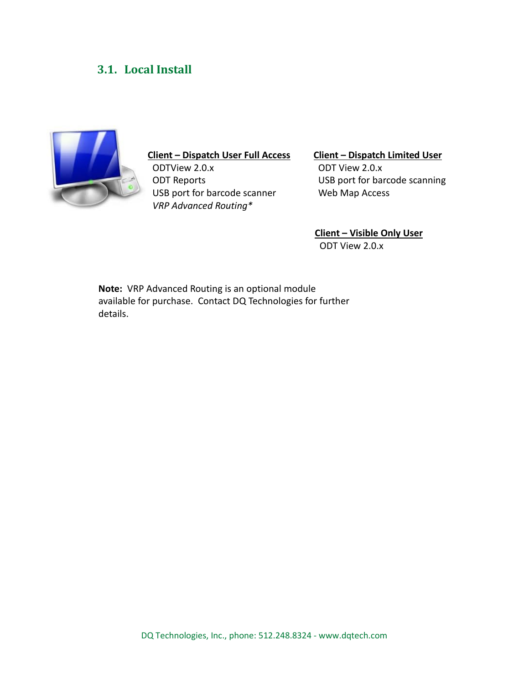# <span id="page-6-0"></span>**3.1. Local Install**



### **Client – Dispatch User Full Access**

 ODTView 2.0.x ODT Reports USB port for barcode scanner  *VRP Advanced Routing\**

#### **Client – Dispatch Limited User**

 ODT View 2.0.x USB port for barcode scanning Web Map Access

**Client – Visible Only User** ODT View 2.0.x

**Note:** VRP Advanced Routing is an optional module available for purchase. Contact DQ Technologies for further details.